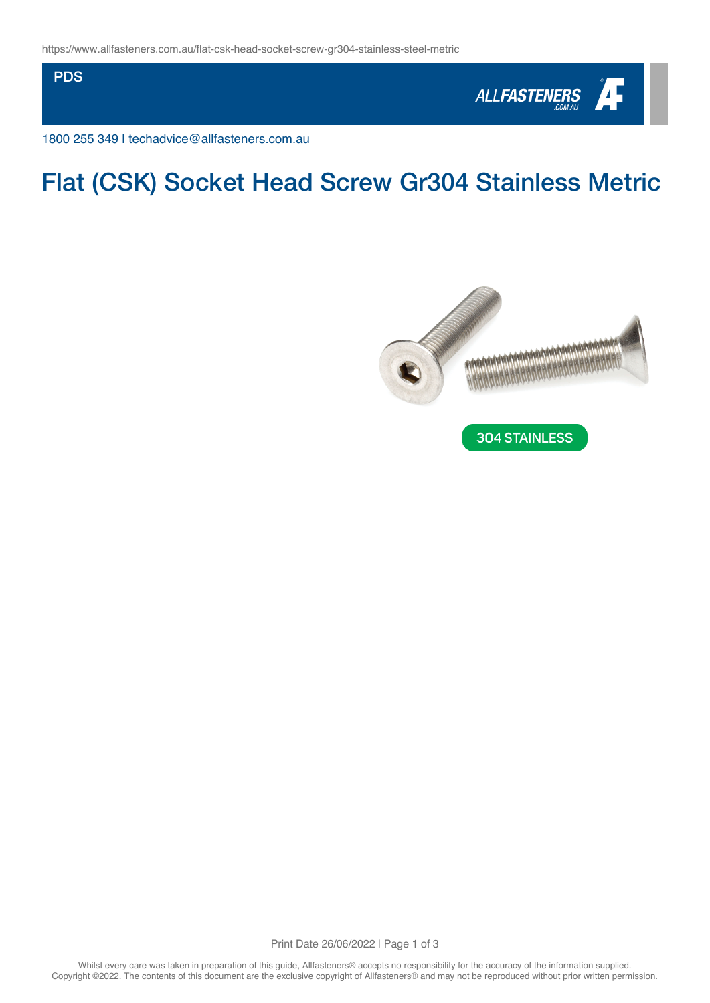**PDS** 



1800 255 349 | techadvice@allfasteners.com.au

# Flat (CSK) Socket Head Screw Gr304 Stainless Metric



Print Date 26/06/2022 | Page 1 of 3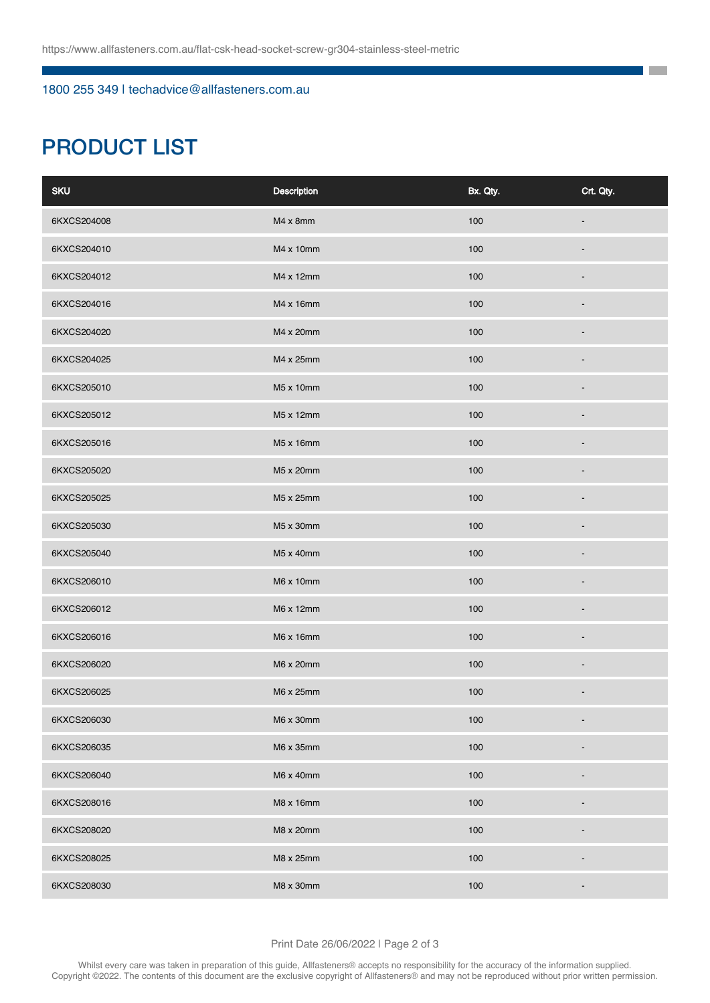### 1800 255 349 | techadvice@allfasteners.com.au

# PRODUCT LIST

| <b>SKU</b>  | Description | Bx. Qty. | Crt. Qty.                |
|-------------|-------------|----------|--------------------------|
| 6KXCS204008 | M4 x 8mm    | 100      |                          |
| 6KXCS204010 | M4 x 10mm   | 100      |                          |
| 6KXCS204012 | M4 x 12mm   | 100      |                          |
| 6KXCS204016 | M4 x 16mm   | 100      |                          |
| 6KXCS204020 | M4 x 20mm   | 100      |                          |
| 6KXCS204025 | M4 x 25mm   | 100      |                          |
| 6KXCS205010 | M5 x 10mm   | 100      |                          |
| 6KXCS205012 | M5 x 12mm   | 100      |                          |
| 6KXCS205016 | M5 x 16mm   | 100      |                          |
| 6KXCS205020 | M5 x 20mm   | 100      |                          |
| 6KXCS205025 | M5 x 25mm   | 100      |                          |
| 6KXCS205030 | M5 x 30mm   | 100      |                          |
| 6KXCS205040 | M5 x 40mm   | 100      |                          |
| 6KXCS206010 | M6 x 10mm   | 100      |                          |
| 6KXCS206012 | M6 x 12mm   | 100      |                          |
| 6KXCS206016 | M6 x 16mm   | 100      |                          |
| 6KXCS206020 | M6 x 20mm   | 100      |                          |
| 6KXCS206025 | M6 x 25mm   | 100      |                          |
| 6KXCS206030 | M6 x 30mm   | 100      | $\overline{\phantom{a}}$ |
| 6KXCS206035 | M6 x 35mm   | 100      |                          |
| 6KXCS206040 | M6 x 40mm   | 100      |                          |
| 6KXCS208016 | M8 x 16mm   | 100      |                          |
| 6KXCS208020 | M8 x 20mm   | 100      |                          |
| 6KXCS208025 | M8 x 25mm   | 100      |                          |
| 6KXCS208030 | M8 x 30mm   | 100      |                          |

**The Co** ٦

#### Print Date 26/06/2022 | Page 2 of 3